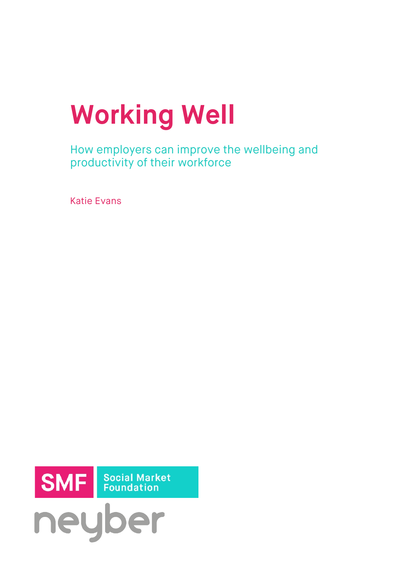# **Working Well**

How employers can improve the wellbeing and productivity of their workforce

Katie Evans

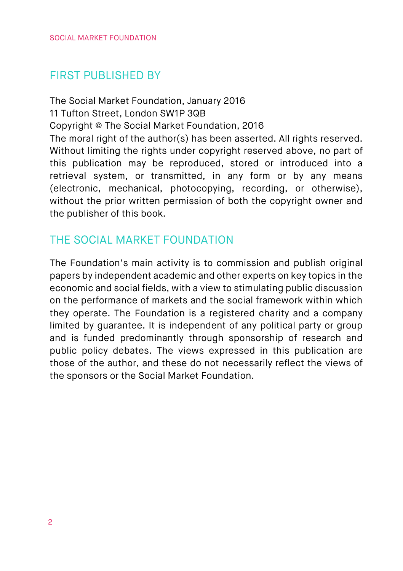# FIRST PUBLISHED BY

The Social Market Foundation, January 2016 11 Tufton Street, London SW1P 3QB Copyright © The Social Market Foundation, 2016 The moral right of the author(s) has been asserted. All rights reserved. Without limiting the rights under copyright reserved above, no part of this publication may be reproduced, stored or introduced into a retrieval system, or transmitted, in any form or by any means (electronic, mechanical, photocopying, recording, or otherwise), without the prior written permission of both the copyright owner and the publisher of this book.

# THE SOCIAL MARKET FOUNDATION

The Foundation's main activity is to commission and publish original papers by independent academic and other experts on key topics in the economic and social fields, with a view to stimulating public discussion on the performance of markets and the social framework within which they operate. The Foundation is a registered charity and a company limited by guarantee. It is independent of any political party or group and is funded predominantly through sponsorship of research and public policy debates. The views expressed in this publication are those of the author, and these do not necessarily reflect the views of the sponsors or the Social Market Foundation.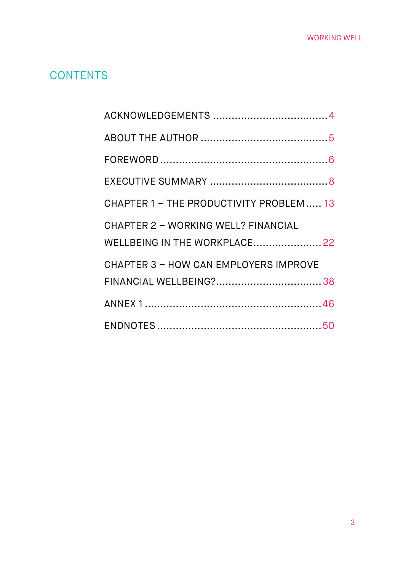# **CONTENTS**

| CHAPTER 1 - THE PRODUCTIVITY PROBLEM  13 |
|------------------------------------------|
| CHAPTER 2 - WORKING WELL? FINANCIAL      |
| WELLBEING IN THE WORKPLACE 22            |
| CHAPTER 3 - HOW CAN EMPLOYERS IMPROVE    |
|                                          |
|                                          |
|                                          |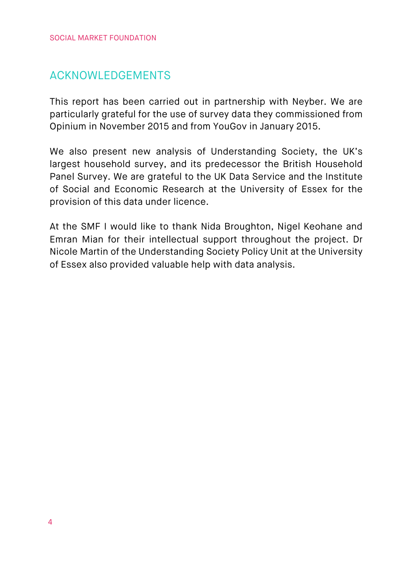# ACKNOWLEDGEMENTS

This report has been carried out in partnership with Neyber. We are particularly grateful for the use of survey data they commissioned from Opinium in November 2015 and from YouGov in January 2015.

We also present new analysis of Understanding Society, the UK's largest household survey, and its predecessor the British Household Panel Survey. We are grateful to the UK Data Service and the Institute of Social and Economic Research at the University of Essex for the provision of this data under licence.

At the SMF I would like to thank Nida Broughton, Nigel Keohane and Emran Mian for their intellectual support throughout the project. Dr Nicole Martin of the Understanding Society Policy Unit at the University of Essex also provided valuable help with data analysis.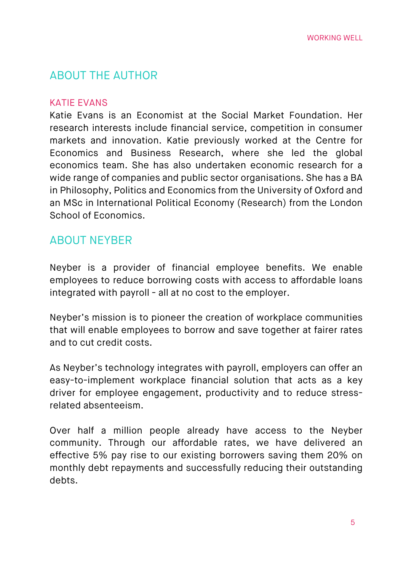# ABOUT THE AUTHOR

#### KATIE EVANS

Katie Evans is an Economist at the Social Market Foundation. Her research interests include financial service, competition in consumer markets and innovation. Katie previously worked at the Centre for Economics and Business Research, where she led the global economics team. She has also undertaken economic research for a wide range of companies and public sector organisations. She has a BA in Philosophy, Politics and Economics from the University of Oxford and an MSc in International Political Economy (Research) from the London School of Economics.

## ABOUT NEYBER

Neyber is a provider of financial employee benefits. We enable employees to reduce borrowing costs with access to affordable loans integrated with payroll - all at no cost to the employer.

Neyber's mission is to pioneer the creation of workplace communities that will enable employees to borrow and save together at fairer rates and to cut credit costs.

As Neyber's technology integrates with payroll, employers can offer an easy-to-implement workplace financial solution that acts as a key driver for employee engagement, productivity and to reduce stressrelated absenteeism.

Over half a million people already have access to the Neyber community. Through our affordable rates, we have delivered an effective 5% pay rise to our existing borrowers saving them 20% on monthly debt repayments and successfully reducing their outstanding debts.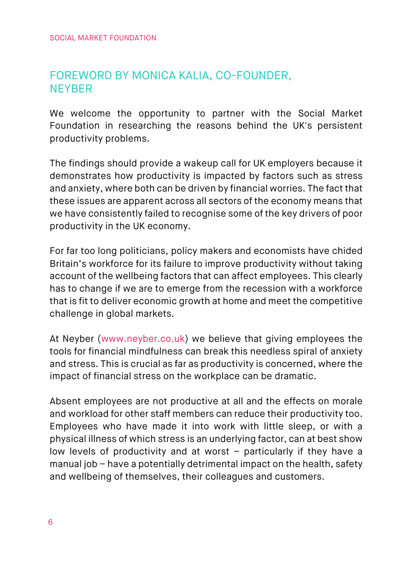# FOREWORD BY MONICA KALIA, CO-FOUNDER, **NEYBER**

We welcome the opportunity to partner with the Social Market Foundation in researching the reasons behind the UK's persistent productivity problems.

The findings should provide a wakeup call for UK employers because it demonstrates how productivity is impacted by factors such as stress and anxiety, where both can be driven by financial worries. The fact that these issues are apparent across all sectors of the economy means that we have consistently failed to recognise some of the key drivers of poor productivity in the UK economy.

For far too long politicians, policy makers and economists have chided Britain's workforce for its failure to improve productivity without taking account of the wellbeing factors that can affect employees. This clearly has to change if we are to emerge from the recession with a workforce that is fit to deliver economic growth at home and meet the competitive challenge in global markets.

At Neyber (www.neyber.co.uk) we believe that giving employees the tools for financial mindfulness can break this needless spiral of anxiety and stress. This is crucial as far as productivity is concerned, where the impact of financial stress on the workplace can be dramatic.

Absent employees are not productive at all and the effects on morale and workload for other staff members can reduce their productivity too. Employees who have made it into work with little sleep, or with a physical illness of which stress is an underlying factor, can at best show low levels of productivity and at worst – particularly if they have a manual job – have a potentially detrimental impact on the health, safety and wellbeing of themselves, their colleagues and customers.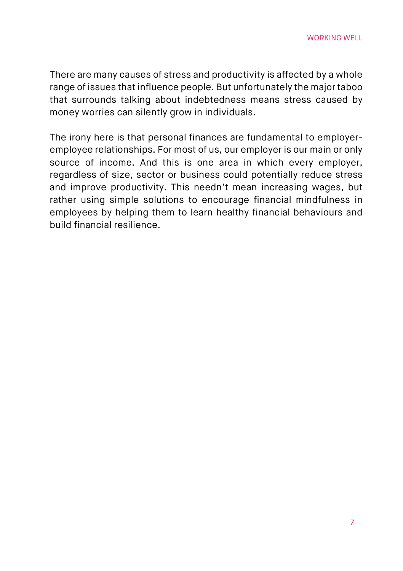There are many causes of stress and productivity is affected by a whole range of issues that influence people. But unfortunately the major taboo that surrounds talking about indebtedness means stress caused by money worries can silently grow in individuals.

The irony here is that personal finances are fundamental to employeremployee relationships. For most of us, our employer is our main or only source of income. And this is one area in which every employer, regardless of size, sector or business could potentially reduce stress and improve productivity. This needn't mean increasing wages, but rather using simple solutions to encourage financial mindfulness in employees by helping them to learn healthy financial behaviours and build financial resilience.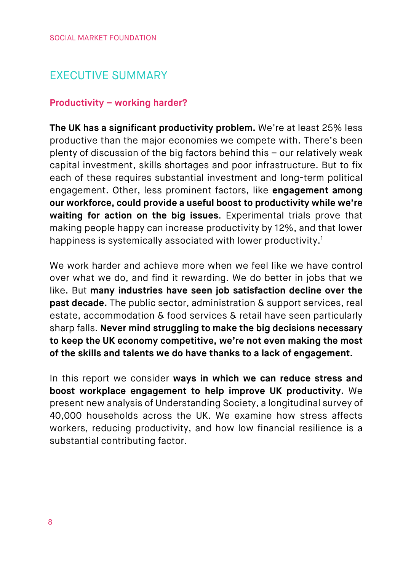# EXECUTIVE SUMMARY

## **Productivity – working harder?**

**The UK has a significant productivity problem.** We're at least 25% less productive than the major economies we compete with. There's been plenty of discussion of the big factors behind this – our relatively weak capital investment, skills shortages and poor infrastructure. But to fix each of these requires substantial investment and long-term political engagement. Other, less prominent factors, like **engagement among our workforce, could provide a useful boost to productivity while we're waiting for action on the big issues**. Experimental trials prove that making people happy can increase productivity by 12%, and that lower happiness is systemically associated with lower productivity.<sup>1</sup>

We work harder and achieve more when we feel like we have control over what we do, and find it rewarding. We do better in jobs that we like. But **many industries have seen job satisfaction decline over the past decade.** The public sector, administration & support services, real estate, accommodation & food services & retail have seen particularly sharp falls. **Never mind struggling to make the big decisions necessary to keep the UK economy competitive, we're not even making the most of the skills and talents we do have thanks to a lack of engagement.**

In this report we consider **ways in which we can reduce stress and boost workplace engagement to help improve UK productivity.** We present new analysis of Understanding Society, a longitudinal survey of 40,000 households across the UK. We examine how stress affects workers, reducing productivity, and how low financial resilience is a substantial contributing factor.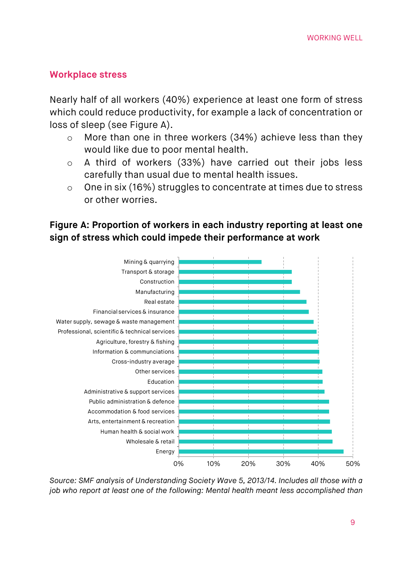### **Workplace stress**

Nearly half of all workers (40%) experience at least one form of stress which could reduce productivity, for example a lack of concentration or loss of sleep (see Figure A).

- o More than one in three workers (34%) achieve less than they would like due to poor mental health.
- o A third of workers (33%) have carried out their jobs less carefully than usual due to mental health issues.
- o One in six (16%) struggles to concentrate at times due to stress or other worries.

## **Figure A: Proportion of workers in each industry reporting at least one sign of stress which could impede their performance at work**



*Source: SMF analysis of Understanding Society Wave 5, 2013/14. Includes all those with a job who report at least one of the following: Mental health meant less accomplished than*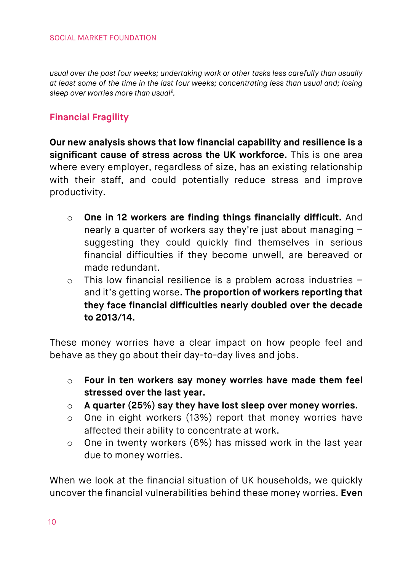*usual over the past four weeks; undertaking work or other tasks less carefully than usually at least some of the time in the last four weeks; concentrating less than usual and; losing sleep over worries more than usual2 .* 

## **Financial Fragility**

**Our new analysis shows that low financial capability and resilience is a significant cause of stress across the UK workforce.** This is one area where every employer, regardless of size, has an existing relationship with their staff, and could potentially reduce stress and improve productivity.

- o **One in 12 workers are finding things financially difficult.** And nearly a quarter of workers say they're just about managing – suggesting they could quickly find themselves in serious financial difficulties if they become unwell, are bereaved or made redundant.
- o This low financial resilience is a problem across industries and it's getting worse. **The proportion of workers reporting that they face financial difficulties nearly doubled over the decade to 2013/14.**

These money worries have a clear impact on how people feel and behave as they go about their day-to-day lives and jobs.

- o **Four in ten workers say money worries have made them feel stressed over the last year.**
- o **A quarter (25%) say they have lost sleep over money worries.**
- o One in eight workers (13%) report that money worries have affected their ability to concentrate at work.
- o One in twenty workers (6%) has missed work in the last year due to money worries.

When we look at the financial situation of UK households, we quickly uncover the financial vulnerabilities behind these money worries. **Even**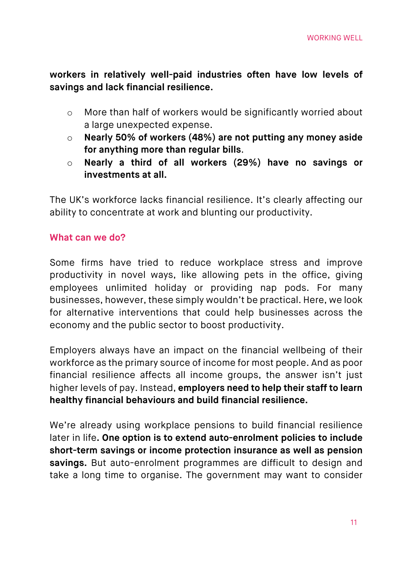**workers in relatively well-paid industries often have low levels of savings and lack financial resilience.**

- o More than half of workers would be significantly worried about a large unexpected expense.
- o **Nearly 50% of workers (48%) are not putting any money aside for anything more than regular bills**.
- o **Nearly a third of all workers (29%) have no savings or investments at all.**

The UK's workforce lacks financial resilience. It's clearly affecting our ability to concentrate at work and blunting our productivity.

#### **What can we do?**

Some firms have tried to reduce workplace stress and improve productivity in novel ways, like allowing pets in the office, giving employees unlimited holiday or providing nap pods. For many businesses, however, these simply wouldn't be practical. Here, we look for alternative interventions that could help businesses across the economy and the public sector to boost productivity.

Employers always have an impact on the financial wellbeing of their workforce as the primary source of income for most people. And as poor financial resilience affects all income groups, the answer isn't just higher levels of pay. Instead, **employers need to help their staff to learn healthy financial behaviours and build financial resilience.**

We're already using workplace pensions to build financial resilience later in life**. One option is to extend auto-enrolment policies to include short-term savings or income protection insurance as well as pension savings.** But auto-enrolment programmes are difficult to design and take a long time to organise. The government may want to consider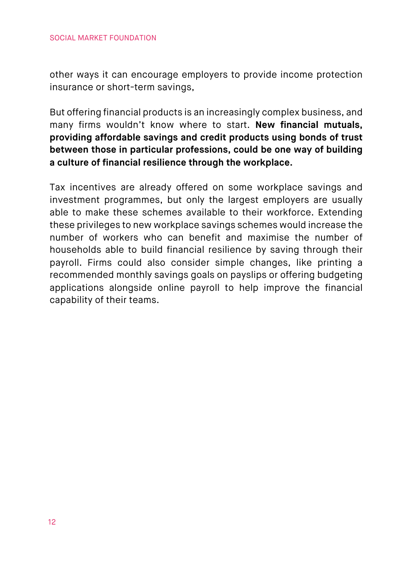other ways it can encourage employers to provide income protection insurance or short-term savings,

But offering financial products is an increasingly complex business, and many firms wouldn't know where to start. **New financial mutuals, providing affordable savings and credit products using bonds of trust between those in particular professions, could be one way of building a culture of financial resilience through the workplace.**

Tax incentives are already offered on some workplace savings and investment programmes, but only the largest employers are usually able to make these schemes available to their workforce. Extending these privileges to new workplace savings schemes would increase the number of workers who can benefit and maximise the number of households able to build financial resilience by saving through their payroll. Firms could also consider simple changes, like printing a recommended monthly savings goals on payslips or offering budgeting applications alongside online payroll to help improve the financial capability of their teams.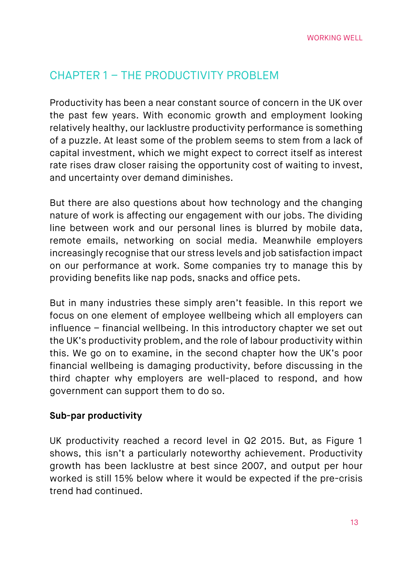# CHAPTER 1 – THE PRODUCTIVITY PROBLEM

Productivity has been a near constant source of concern in the UK over the past few years. With economic growth and employment looking relatively healthy, our lacklustre productivity performance is something of a puzzle. At least some of the problem seems to stem from a lack of capital investment, which we might expect to correct itself as interest rate rises draw closer raising the opportunity cost of waiting to invest, and uncertainty over demand diminishes.

But there are also questions about how technology and the changing nature of work is affecting our engagement with our jobs. The dividing line between work and our personal lines is blurred by mobile data, remote emails, networking on social media. Meanwhile employers increasingly recognise that our stress levels and job satisfaction impact on our performance at work. Some companies try to manage this by providing benefits like nap pods, snacks and office pets.

But in many industries these simply aren't feasible. In this report we focus on one element of employee wellbeing which all employers can influence – financial wellbeing. In this introductory chapter we set out the UK's productivity problem, and the role of labour productivity within this. We go on to examine, in the second chapter how the UK's poor financial wellbeing is damaging productivity, before discussing in the third chapter why employers are well-placed to respond, and how government can support them to do so.

#### **Sub-par productivity**

UK productivity reached a record level in Q2 2015. But, as Figure 1 shows, this isn't a particularly noteworthy achievement. Productivity growth has been lacklustre at best since 2007, and output per hour worked is still 15% below where it would be expected if the pre-crisis trend had continued.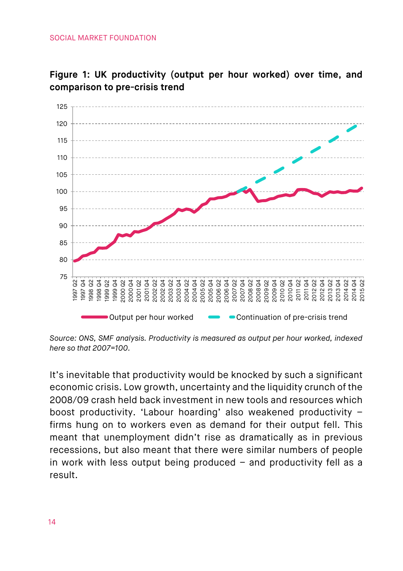



*Source: ONS, SMF analysis. Productivity is measured as output per hour worked, indexed here so that 2007=100.* 

It's inevitable that productivity would be knocked by such a significant economic crisis. Low growth, uncertainty and the liquidity crunch of the 2008/09 crash held back investment in new tools and resources which boost productivity. 'Labour hoarding' also weakened productivity – firms hung on to workers even as demand for their output fell. This meant that unemployment didn't rise as dramatically as in previous recessions, but also meant that there were similar numbers of people in work with less output being produced – and productivity fell as a result.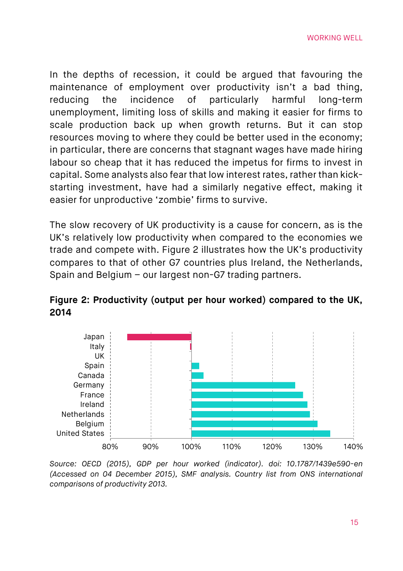In the depths of recession, it could be argued that favouring the maintenance of employment over productivity isn't a bad thing, reducing the incidence of particularly harmful long-term unemployment, limiting loss of skills and making it easier for firms to scale production back up when growth returns. But it can stop resources moving to where they could be better used in the economy; in particular, there are concerns that stagnant wages have made hiring labour so cheap that it has reduced the impetus for firms to invest in capital. Some analysts also fear that low interest rates, rather than kickstarting investment, have had a similarly negative effect, making it easier for unproductive 'zombie' firms to survive.

The slow recovery of UK productivity is a cause for concern, as is the UK's relatively low productivity when compared to the economies we trade and compete with. Figure 2 illustrates how the UK's productivity compares to that of other G7 countries plus Ireland, the Netherlands, Spain and Belgium – our largest non-G7 trading partners.



**Figure 2: Productivity (output per hour worked) compared to the UK, 2014**

*Source: OECD (2015), GDP per hour worked (indicator). doi: 10.1787/1439e590-en (Accessed on 04 December 2015), SMF analysis. Country list from ONS international comparisons of productivity 2013.*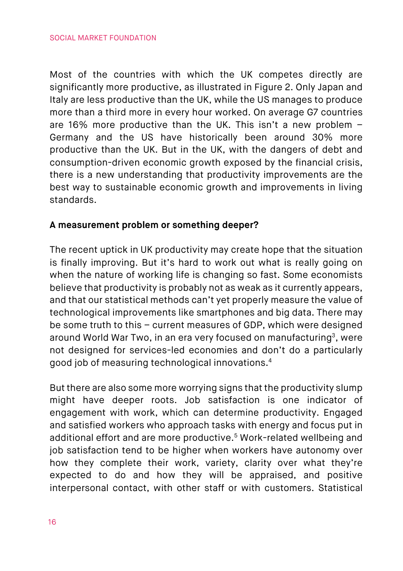Most of the countries with which the UK competes directly are significantly more productive, as illustrated in Figure 2. Only Japan and Italy are less productive than the UK, while the US manages to produce more than a third more in every hour worked. On average G7 countries are 16% more productive than the UK. This isn't a new problem – Germany and the US have historically been around 30% more productive than the UK. But in the UK, with the dangers of debt and consumption-driven economic growth exposed by the financial crisis, there is a new understanding that productivity improvements are the best way to sustainable economic growth and improvements in living standards.

## **A measurement problem or something deeper?**

The recent uptick in UK productivity may create hope that the situation is finally improving. But it's hard to work out what is really going on when the nature of working life is changing so fast. Some economists believe that productivity is probably not as weak as it currently appears, and that our statistical methods can't yet properly measure the value of technological improvements like smartphones and big data. There may be some truth to this – current measures of GDP, which were designed around World War Two, in an era very focused on manufacturing<sup>3</sup>, were not designed for services-led economies and don't do a particularly good job of measuring technological innovations.4

But there are also some more worrying signs that the productivity slump might have deeper roots. Job satisfaction is one indicator of engagement with work, which can determine productivity. Engaged and satisfied workers who approach tasks with energy and focus put in additional effort and are more productive.5 Work-related wellbeing and job satisfaction tend to be higher when workers have autonomy over how they complete their work, variety, clarity over what they're expected to do and how they will be appraised, and positive interpersonal contact, with other staff or with customers. Statistical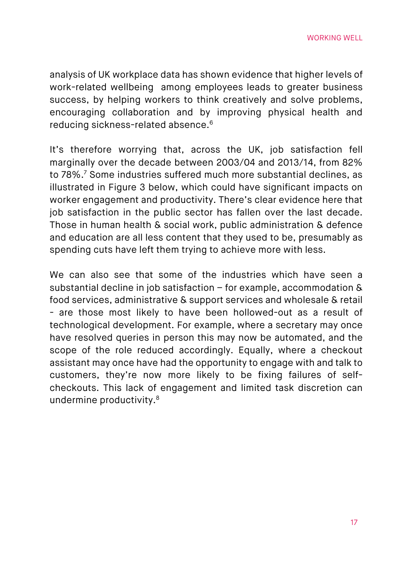analysis of UK workplace data has shown evidence that higher levels of work-related wellbeing among employees leads to greater business success, by helping workers to think creatively and solve problems, encouraging collaboration and by improving physical health and reducing sickness-related absence.<sup>6</sup>

It's therefore worrying that, across the UK, job satisfaction fell marginally over the decade between 2003/04 and 2013/14, from 82% to 78%.<sup>7</sup> Some industries suffered much more substantial declines, as illustrated in Figure 3 below, which could have significant impacts on worker engagement and productivity. There's clear evidence here that iob satisfaction in the public sector has fallen over the last decade. Those in human health & social work, public administration & defence and education are all less content that they used to be, presumably as spending cuts have left them trying to achieve more with less.

We can also see that some of the industries which have seen a substantial decline in job satisfaction – for example, accommodation & food services, administrative & support services and wholesale & retail - are those most likely to have been hollowed-out as a result of technological development. For example, where a secretary may once have resolved queries in person this may now be automated, and the scope of the role reduced accordingly. Equally, where a checkout assistant may once have had the opportunity to engage with and talk to customers, they're now more likely to be fixing failures of selfcheckouts. This lack of engagement and limited task discretion can undermine productivity.<sup>8</sup>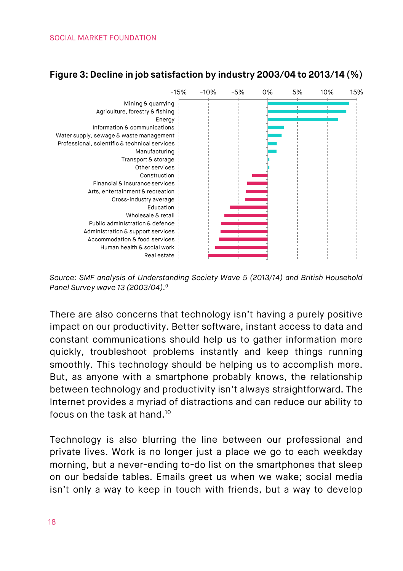



*Source: SMF analysis of Understanding Society Wave 5 (2013/14) and British Household Panel Survey wave 13 (2003/04).9*

There are also concerns that technology isn't having a purely positive impact on our productivity. Better software, instant access to data and constant communications should help us to gather information more quickly, troubleshoot problems instantly and keep things running smoothly. This technology should be helping us to accomplish more. But, as anyone with a smartphone probably knows, the relationship between technology and productivity isn't always straightforward. The Internet provides a myriad of distractions and can reduce our ability to focus on the task at hand.10

Technology is also blurring the line between our professional and private lives. Work is no longer just a place we go to each weekday morning, but a never-ending to-do list on the smartphones that sleep on our bedside tables. Emails greet us when we wake; social media isn't only a way to keep in touch with friends, but a way to develop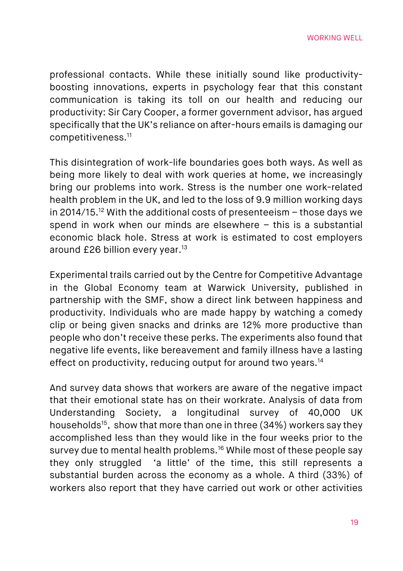professional contacts. While these initially sound like productivityboosting innovations, experts in psychology fear that this constant communication is taking its toll on our health and reducing our productivity: Sir Cary Cooper, a former government advisor, has argued specifically that the UK's reliance on after-hours emails is damaging our competitiveness.11

This disintegration of work-life boundaries goes both ways. As well as being more likely to deal with work queries at home, we increasingly bring our problems into work. Stress is the number one work-related health problem in the UK, and led to the loss of 9.9 million working days in 2014/15.<sup>12</sup> With the additional costs of presenteeism  $-$  those days we spend in work when our minds are elsewhere – this is a substantial economic black hole. Stress at work is estimated to cost employers around £26 billion every year.<sup>13</sup>

Experimental trails carried out by the Centre for Competitive Advantage in the Global Economy team at Warwick University, published in partnership with the SMF, show a direct link between happiness and productivity. Individuals who are made happy by watching a comedy clip or being given snacks and drinks are 12% more productive than people who don't receive these perks. The experiments also found that negative life events, like bereavement and family illness have a lasting effect on productivity, reducing output for around two years.<sup>14</sup>

And survey data shows that workers are aware of the negative impact that their emotional state has on their workrate. Analysis of data from Understanding Society, a longitudinal survey of 40,000 UK households<sup>15</sup>, show that more than one in three (34%) workers say they accomplished less than they would like in the four weeks prior to the survey due to mental health problems.<sup>16</sup> While most of these people say they only struggled 'a little' of the time, this still represents a substantial burden across the economy as a whole. A third (33%) of workers also report that they have carried out work or other activities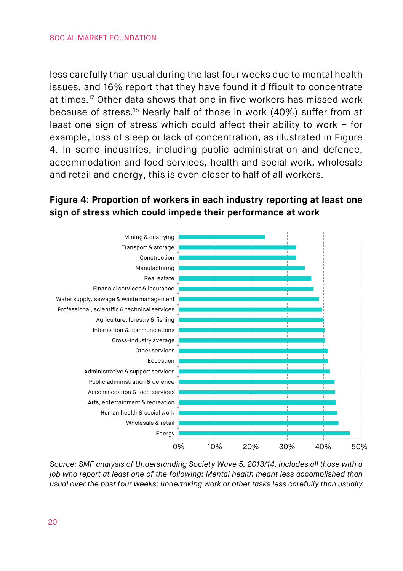less carefully than usual during the last four weeks due to mental health issues, and 16% report that they have found it difficult to concentrate at times.17 Other data shows that one in five workers has missed work because of stress.18 Nearly half of those in work (40%) suffer from at least one sign of stress which could affect their ability to work – for example, loss of sleep or lack of concentration, as illustrated in Figure 4. In some industries, including public administration and defence, accommodation and food services, health and social work, wholesale and retail and energy, this is even closer to half of all workers.

## **Figure 4: Proportion of workers in each industry reporting at least one sign of stress which could impede their performance at work**



*Source: SMF analysis of Understanding Society Wave 5, 2013/14. Includes all those with a job who report at least one of the following: Mental health meant less accomplished than usual over the past four weeks; undertaking work or other tasks less carefully than usually*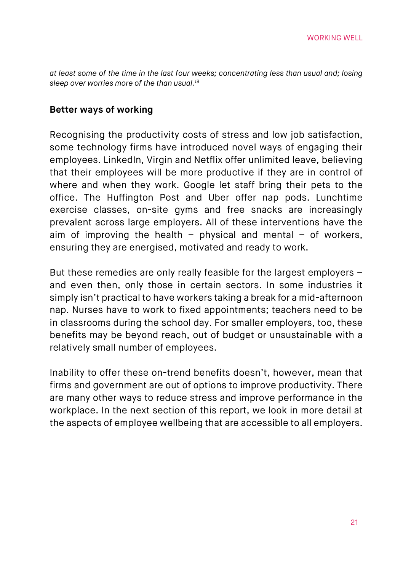*at least some of the time in the last four weeks; concentrating less than usual and; losing sleep over worries more of the than usual.19*

#### **Better ways of working**

Recognising the productivity costs of stress and low job satisfaction, some technology firms have introduced novel ways of engaging their employees. LinkedIn, Virgin and Netflix offer unlimited leave, believing that their employees will be more productive if they are in control of where and when they work. Google let staff bring their pets to the office. The Huffington Post and Uber offer nap pods. Lunchtime exercise classes, on-site gyms and free snacks are increasingly prevalent across large employers. All of these interventions have the aim of improving the health  $-$  physical and mental  $-$  of workers, ensuring they are energised, motivated and ready to work.

But these remedies are only really feasible for the largest employers – and even then, only those in certain sectors. In some industries it simply isn't practical to have workers taking a break for a mid-afternoon nap. Nurses have to work to fixed appointments; teachers need to be in classrooms during the school day. For smaller employers, too, these benefits may be beyond reach, out of budget or unsustainable with a relatively small number of employees.

Inability to offer these on-trend benefits doesn't, however, mean that firms and government are out of options to improve productivity. There are many other ways to reduce stress and improve performance in the workplace. In the next section of this report, we look in more detail at the aspects of employee wellbeing that are accessible to all employers.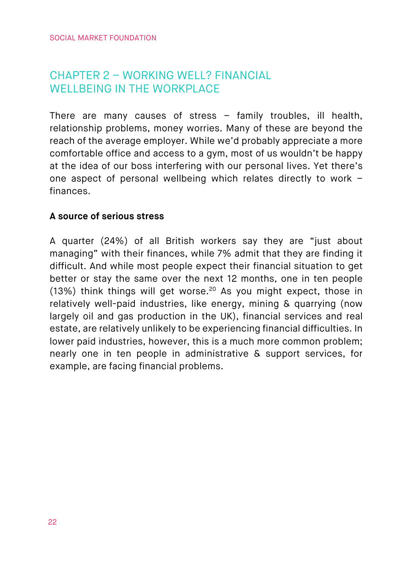# CHAPTER 2 – WORKING WELL? FINANCIAL WELL BEING IN THE WORKPLACE

There are many causes of stress – family troubles, ill health, relationship problems, money worries. Many of these are beyond the reach of the average employer. While we'd probably appreciate a more comfortable office and access to a gym, most of us wouldn't be happy at the idea of our boss interfering with our personal lives. Yet there's one aspect of personal wellbeing which relates directly to work – finances.

#### **A source of serious stress**

A quarter (24%) of all British workers say they are "just about managing" with their finances, while 7% admit that they are finding it difficult. And while most people expect their financial situation to get better or stay the same over the next 12 months, one in ten people  $(13%)$  think things will get worse.<sup>20</sup> As you might expect, those in relatively well-paid industries, like energy, mining & quarrying (now largely oil and gas production in the UK), financial services and real estate, are relatively unlikely to be experiencing financial difficulties. In lower paid industries, however, this is a much more common problem; nearly one in ten people in administrative & support services, for example, are facing financial problems.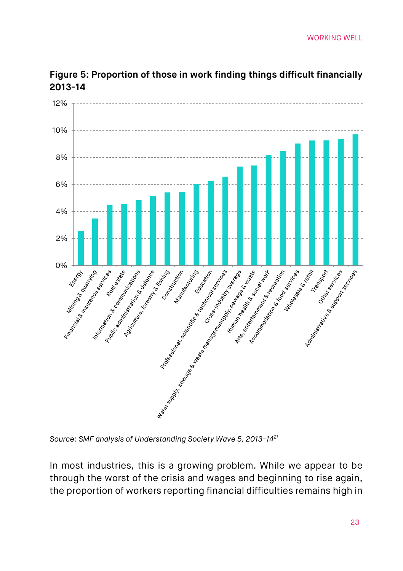

**Figure 5: Proportion of those in work finding things difficult financially 2013-14**

In most industries, this is a growing problem. While we appear to be through the worst of the crisis and wages and beginning to rise again, the proportion of workers reporting financial difficulties remains high in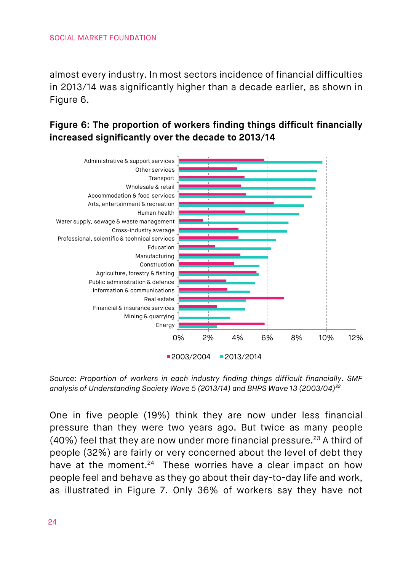almost every industry. In most sectors incidence of financial difficulties in 2013/14 was significantly higher than a decade earlier, as shown in Figure 6.

## **Figure 6: The proportion of workers finding things difficult financially increased significantly over the decade to 2013/14**



*Source: Proportion of workers in each industry finding things difficult financially. SMF analysis of Understanding Society Wave 5 (2013/14) and BHPS Wave 13 (2003/04)22*

One in five people (19%) think they are now under less financial pressure than they were two years ago. But twice as many people (40%) feel that they are now under more financial pressure.23 A third of people (32%) are fairly or very concerned about the level of debt they have at the moment.<sup>24</sup> These worries have a clear impact on how people feel and behave as they go about their day-to-day life and work, as illustrated in Figure 7. Only 36% of workers say they have not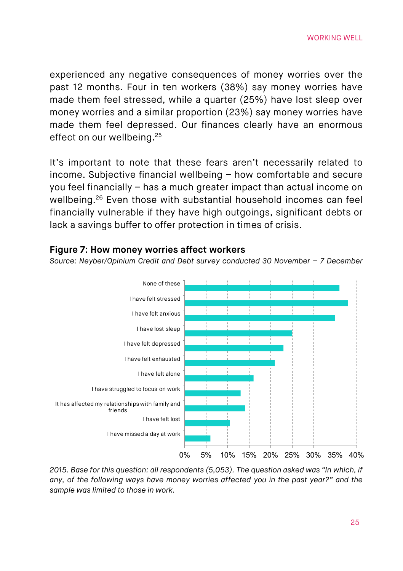experienced any negative consequences of money worries over the past 12 months. Four in ten workers (38%) say money worries have made them feel stressed, while a quarter (25%) have lost sleep over money worries and a similar proportion (23%) say money worries have made them feel depressed. Our finances clearly have an enormous effect on our wellbeing.<sup>25</sup>

It's important to note that these fears aren't necessarily related to income. Subjective financial wellbeing – how comfortable and secure you feel financially – has a much greater impact than actual income on wellbeing.<sup>26</sup> Even those with substantial household incomes can feel financially vulnerable if they have high outgoings, significant debts or lack a savings buffer to offer protection in times of crisis.

#### **Figure 7: How money worries affect workers**

*Source: Neyber/Opinium Credit and Debt survey conducted 30 November – 7 December* 



*2015. Base for this question: all respondents (5,053). The question asked was "In which, if any, of the following ways have money worries affected you in the past year?" and the sample was limited to those in work.*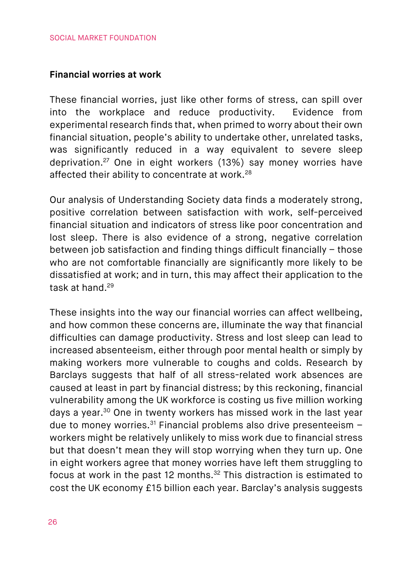#### **Financial worries at work**

These financial worries, just like other forms of stress, can spill over into the workplace and reduce productivity. Evidence from experimental research finds that, when primed to worry about their own financial situation, people's ability to undertake other, unrelated tasks, was significantly reduced in a way equivalent to severe sleep deprivation.27 One in eight workers (13%) say money worries have affected their ability to concentrate at work.<sup>28</sup>

Our analysis of Understanding Society data finds a moderately strong, positive correlation between satisfaction with work, self-perceived financial situation and indicators of stress like poor concentration and lost sleep. There is also evidence of a strong, negative correlation between job satisfaction and finding things difficult financially – those who are not comfortable financially are significantly more likely to be dissatisfied at work; and in turn, this may affect their application to the task at hand 29

These insights into the way our financial worries can affect wellbeing, and how common these concerns are, illuminate the way that financial difficulties can damage productivity. Stress and lost sleep can lead to increased absenteeism, either through poor mental health or simply by making workers more vulnerable to coughs and colds. Research by Barclays suggests that half of all stress-related work absences are caused at least in part by financial distress; by this reckoning, financial vulnerability among the UK workforce is costing us five million working days a year.<sup>30</sup> One in twenty workers has missed work in the last year due to money worries. $31$  Financial problems also drive presenteeism workers might be relatively unlikely to miss work due to financial stress but that doesn't mean they will stop worrying when they turn up. One in eight workers agree that money worries have left them struggling to focus at work in the past 12 months.<sup>32</sup> This distraction is estimated to cost the UK economy £15 billion each year. Barclay's analysis suggests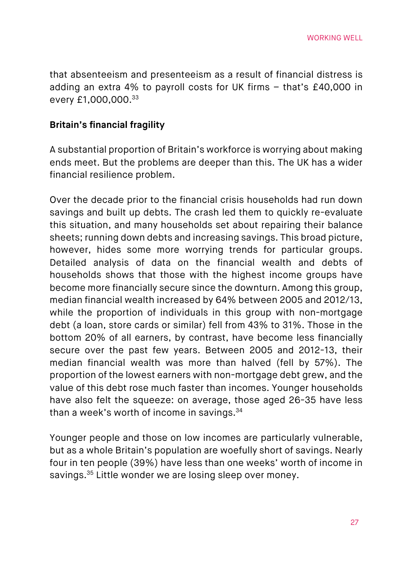that absenteeism and presenteeism as a result of financial distress is adding an extra 4% to payroll costs for UK firms – that's £40,000 in every £1,000,000.33

#### **Britain's financial fragility**

A substantial proportion of Britain's workforce is worrying about making ends meet. But the problems are deeper than this. The UK has a wider financial resilience problem.

Over the decade prior to the financial crisis households had run down savings and built up debts. The crash led them to quickly re-evaluate this situation, and many households set about repairing their balance sheets; running down debts and increasing savings. This broad picture, however, hides some more worrying trends for particular groups. Detailed analysis of data on the financial wealth and debts of households shows that those with the highest income groups have become more financially secure since the downturn. Among this group, median financial wealth increased by 64% between 2005 and 2012/13, while the proportion of individuals in this group with non-mortgage debt (a loan, store cards or similar) fell from 43% to 31%. Those in the bottom 20% of all earners, by contrast, have become less financially secure over the past few years. Between 2005 and 2012-13, their median financial wealth was more than halved (fell by 57%). The proportion of the lowest earners with non-mortgage debt grew, and the value of this debt rose much faster than incomes. Younger households have also felt the squeeze: on average, those aged 26-35 have less than a week's worth of income in savings. $34$ 

Younger people and those on low incomes are particularly vulnerable, but as a whole Britain's population are woefully short of savings. Nearly four in ten people (39%) have less than one weeks' worth of income in savings.<sup>35</sup> Little wonder we are losing sleep over money.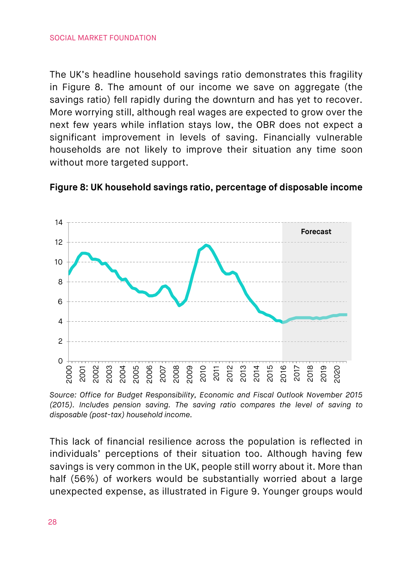The UK's headline household savings ratio demonstrates this fragility in Figure 8. The amount of our income we save on aggregate (the savings ratio) fell rapidly during the downturn and has yet to recover. More worrying still, although real wages are expected to grow over the next few years while inflation stays low, the OBR does not expect a significant improvement in levels of saving. Financially vulnerable households are not likely to improve their situation any time soon without more targeted support.



#### **Figure 8: UK household savings ratio, percentage of disposable income**

*Source: Office for Budget Responsibility, Economic and Fiscal Outlook November 2015 (2015). Includes pension saving. The saving ratio compares the level of saving to disposable (post-tax) household income.* 

This lack of financial resilience across the population is reflected in individuals' perceptions of their situation too. Although having few savings is very common in the UK, people still worry about it. More than half (56%) of workers would be substantially worried about a large unexpected expense, as illustrated in Figure 9. Younger groups would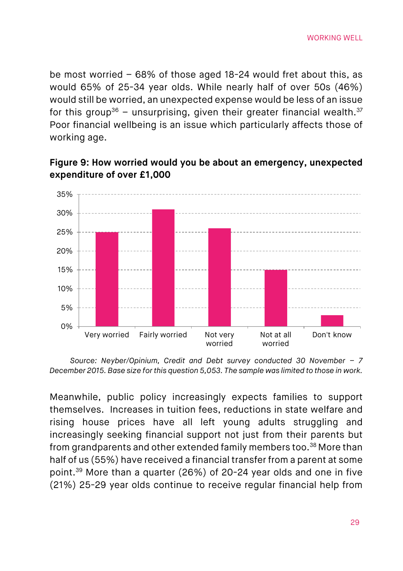be most worried – 68% of those aged 18-24 would fret about this, as would 65% of 25-34 year olds. While nearly half of over 50s (46%) would still be worried, an unexpected expense would be less of an issue for this group<sup>36</sup> – unsurprising, given their greater financial wealth.<sup>37</sup> Poor financial wellbeing is an issue which particularly affects those of working age.



## **Figure 9: How worried would you be about an emergency, unexpected expenditure of over £1,000**

*Source: Neyber/Opinium, Credit and Debt survey conducted 30 November – 7 December 2015. Base size for this question 5,053. The sample was limited to those in work.* 

Meanwhile, public policy increasingly expects families to support themselves. Increases in tuition fees, reductions in state welfare and rising house prices have all left young adults struggling and increasingly seeking financial support not just from their parents but from grandparents and other extended family members too.<sup>38</sup> More than half of us (55%) have received a financial transfer from a parent at some point.39 More than a quarter (26%) of 20-24 year olds and one in five (21%) 25-29 year olds continue to receive regular financial help from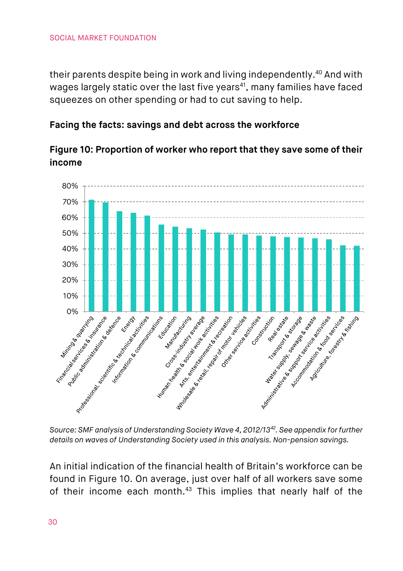their parents despite being in work and living independently.40 And with wages largely static over the last five years<sup>41</sup>, many families have faced squeezes on other spending or had to cut saving to help.

## **Facing the facts: savings and debt across the workforce**





*details on waves of Understanding Society used in this analysis. Non-pension savings.* 

An initial indication of the financial health of Britain's workforce can be found in Figure 10. On average, just over half of all workers save some of their income each month.<sup>43</sup> This implies that nearly half of the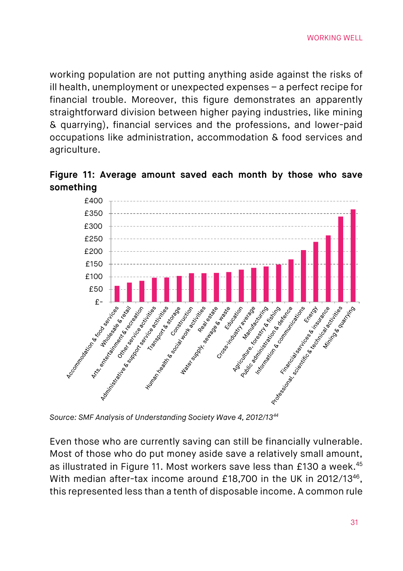working population are not putting anything aside against the risks of ill health, unemployment or unexpected expenses – a perfect recipe for financial trouble. Moreover, this figure demonstrates an apparently straightforward division between higher paying industries, like mining & quarrying), financial services and the professions, and lower-paid occupations like administration, accommodation & food services and agriculture.





Even those who are currently saving can still be financially vulnerable. Most of those who do put money aside save a relatively small amount, as illustrated in Figure 11. Most workers save less than £130 a week.<sup>45</sup> With median after-tax income around £18,700 in the UK in 2012/13<sup>46</sup>. this represented less than a tenth of disposable income. A common rule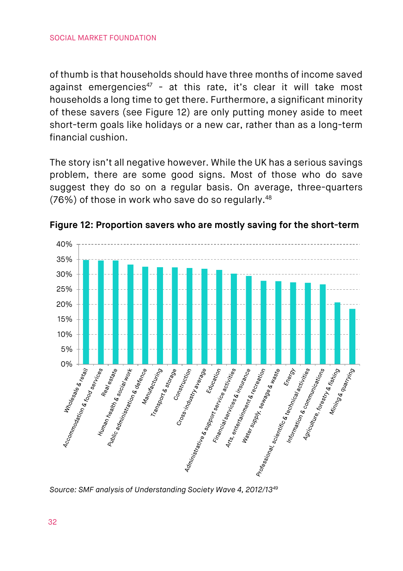of thumb is that households should have three months of income saved against emergencies $47$  - at this rate, it's clear it will take most households a long time to get there. Furthermore, a significant minority of these savers (see Figure 12) are only putting money aside to meet short-term goals like holidays or a new car, rather than as a long-term financial cushion.

The story isn't all negative however. While the UK has a serious savings problem, there are some good signs. Most of those who do save suggest they do so on a regular basis. On average, three-quarters (76%) of those in work who save do so regularly.<sup>48</sup>



**Figure 12: Proportion savers who are mostly saving for the short-term**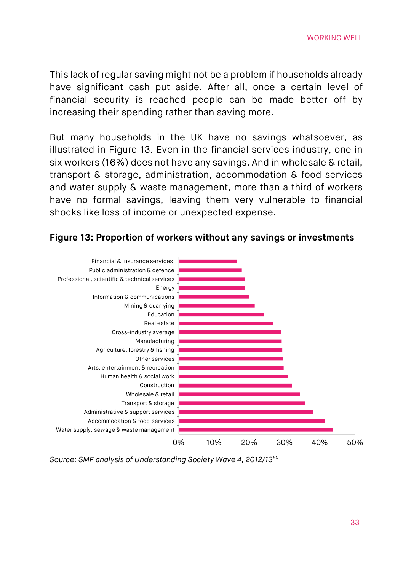This lack of regular saving might not be a problem if households already have significant cash put aside. After all, once a certain level of financial security is reached people can be made better off by increasing their spending rather than saving more.

But many households in the UK have no savings whatsoever, as illustrated in Figure 13. Even in the financial services industry, one in six workers (16%) does not have any savings. And in wholesale & retail, transport & storage, administration, accommodation & food services and water supply & waste management, more than a third of workers have no formal savings, leaving them very vulnerable to financial shocks like loss of income or unexpected expense.





*Source: SMF analysis of Understanding Society Wave 4, 2012/1350*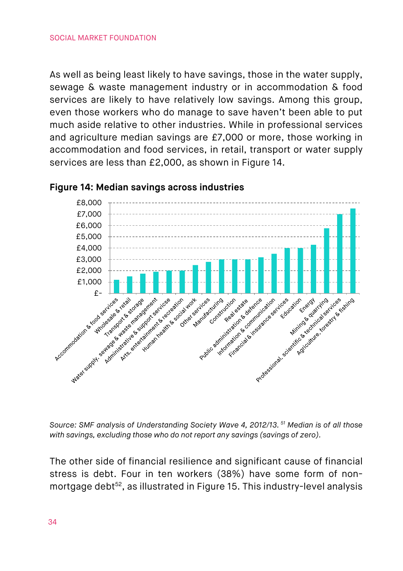As well as being least likely to have savings, those in the water supply, sewage & waste management industry or in accommodation & food services are likely to have relatively low savings. Among this group, even those workers who do manage to save haven't been able to put much aside relative to other industries. While in professional services and agriculture median savings are £7,000 or more, those working in accommodation and food services, in retail, transport or water supply services are less than £2,000, as shown in Figure 14.



#### **Figure 14: Median savings across industries**

*Source: SMF analysis of Understanding Society Wave 4, 2012/13. <sup>51</sup> Median is of all those with savings, excluding those who do not report any savings (savings of zero).* 

The other side of financial resilience and significant cause of financial stress is debt. Four in ten workers (38%) have some form of nonmortgage debt<sup>52</sup>, as illustrated in Figure 15. This industry-level analysis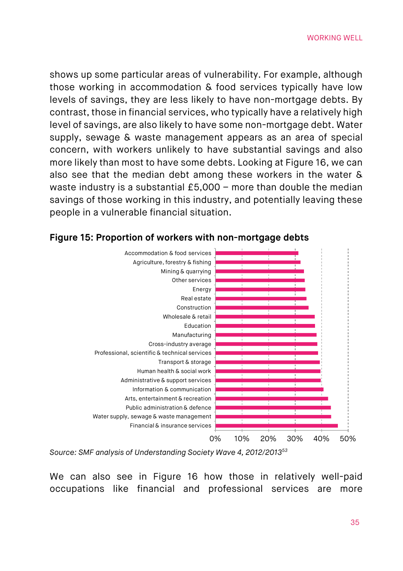shows up some particular areas of vulnerability. For example, although those working in accommodation & food services typically have low levels of savings, they are less likely to have non-mortgage debts. By contrast, those in financial services, who typically have a relatively high level of savings, are also likely to have some non-mortgage debt. Water supply, sewage & waste management appears as an area of special concern, with workers unlikely to have substantial savings and also more likely than most to have some debts. Looking at Figure 16, we can also see that the median debt among these workers in the water & waste industry is a substantial £5,000 – more than double the median savings of those working in this industry, and potentially leaving these people in a vulnerable financial situation.



## **Figure 15: Proportion of workers with non-mortgage debts**

*Source: SMF analysis of Understanding Society Wave 4, 2012/201353*

We can also see in Figure 16 how those in relatively well-paid occupations like financial and professional services are more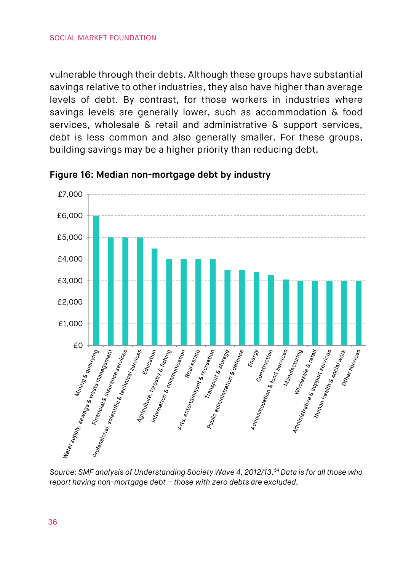vulnerable through their debts. Although these groups have substantial savings relative to other industries, they also have higher than average levels of debt. By contrast, for those workers in industries where savings levels are generally lower, such as accommodation & food services, wholesale & retail and administrative & support services, debt is less common and also generally smaller. For these groups, building savings may be a higher priority than reducing debt.



**Figure 16: Median non-mortgage debt by industry**

*report having non-mortgage debt – those with zero debts are excluded.*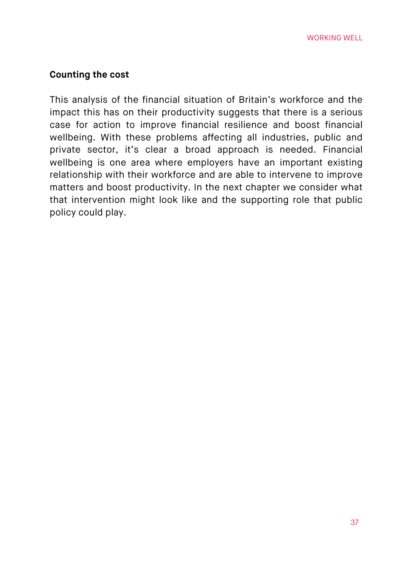#### **Counting the cost**

This analysis of the financial situation of Britain's workforce and the impact this has on their productivity suggests that there is a serious case for action to improve financial resilience and boost financial wellbeing. With these problems affecting all industries, public and private sector, it's clear a broad approach is needed. Financial wellbeing is one area where employers have an important existing relationship with their workforce and are able to intervene to improve matters and boost productivity. In the next chapter we consider what that intervention might look like and the supporting role that public policy could play.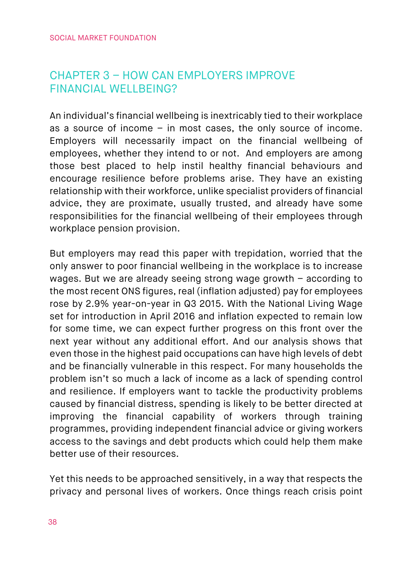# CHAPTER 3 – HOW CAN EMPLOYERS IMPROVE FINANCIAL WELLBEING?

An individual's financial wellbeing is inextricably tied to their workplace as a source of income – in most cases, the only source of income. Employers will necessarily impact on the financial wellbeing of employees, whether they intend to or not. And employers are among those best placed to help instil healthy financial behaviours and encourage resilience before problems arise. They have an existing relationship with their workforce, unlike specialist providers of financial advice, they are proximate, usually trusted, and already have some responsibilities for the financial wellbeing of their employees through workplace pension provision.

But employers may read this paper with trepidation, worried that the only answer to poor financial wellbeing in the workplace is to increase wages. But we are already seeing strong wage growth – according to the most recent ONS figures, real (inflation adjusted) pay for employees rose by 2.9% year-on-year in Q3 2015. With the National Living Wage set for introduction in April 2016 and inflation expected to remain low for some time, we can expect further progress on this front over the next year without any additional effort. And our analysis shows that even those in the highest paid occupations can have high levels of debt and be financially vulnerable in this respect. For many households the problem isn't so much a lack of income as a lack of spending control and resilience. If employers want to tackle the productivity problems caused by financial distress, spending is likely to be better directed at improving the financial capability of workers through training programmes, providing independent financial advice or giving workers access to the savings and debt products which could help them make better use of their resources.

Yet this needs to be approached sensitively, in a way that respects the privacy and personal lives of workers. Once things reach crisis point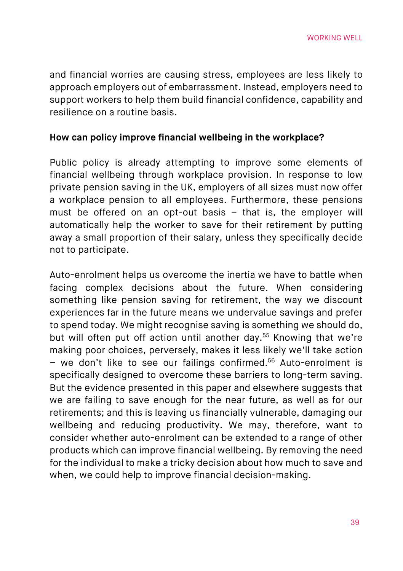and financial worries are causing stress, employees are less likely to approach employers out of embarrassment. Instead, employers need to support workers to help them build financial confidence, capability and resilience on a routine basis.

## **How can policy improve financial wellbeing in the workplace?**

Public policy is already attempting to improve some elements of financial wellbeing through workplace provision. In response to low private pension saving in the UK, employers of all sizes must now offer a workplace pension to all employees. Furthermore, these pensions must be offered on an opt-out basis – that is, the employer will automatically help the worker to save for their retirement by putting away a small proportion of their salary, unless they specifically decide not to participate.

Auto-enrolment helps us overcome the inertia we have to battle when facing complex decisions about the future. When considering something like pension saving for retirement, the way we discount experiences far in the future means we undervalue savings and prefer to spend today. We might recognise saving is something we should do, but will often put off action until another day.<sup>55</sup> Knowing that we're making poor choices, perversely, makes it less likely we'll take action – we don't like to see our failings confirmed.56 Auto-enrolment is specifically designed to overcome these barriers to long-term saving. But the evidence presented in this paper and elsewhere suggests that we are failing to save enough for the near future, as well as for our retirements; and this is leaving us financially vulnerable, damaging our wellbeing and reducing productivity. We may, therefore, want to consider whether auto-enrolment can be extended to a range of other products which can improve financial wellbeing. By removing the need for the individual to make a tricky decision about how much to save and when, we could help to improve financial decision-making.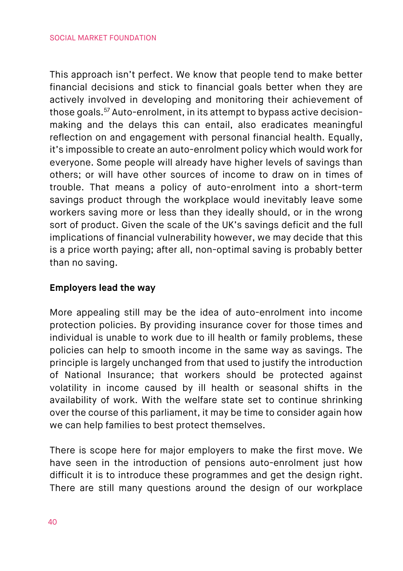This approach isn't perfect. We know that people tend to make better financial decisions and stick to financial goals better when they are actively involved in developing and monitoring their achievement of those goals.<sup>57</sup> Auto-enrolment, in its attempt to bypass active decisionmaking and the delays this can entail, also eradicates meaningful reflection on and engagement with personal financial health. Equally, it's impossible to create an auto-enrolment policy which would work for everyone. Some people will already have higher levels of savings than others; or will have other sources of income to draw on in times of trouble. That means a policy of auto-enrolment into a short-term savings product through the workplace would inevitably leave some workers saving more or less than they ideally should, or in the wrong sort of product. Given the scale of the UK's savings deficit and the full implications of financial vulnerability however, we may decide that this is a price worth paying; after all, non-optimal saving is probably better than no saving.

#### **Employers lead the way**

More appealing still may be the idea of auto-enrolment into income protection policies. By providing insurance cover for those times and individual is unable to work due to ill health or family problems, these policies can help to smooth income in the same way as savings. The principle is largely unchanged from that used to justify the introduction of National Insurance; that workers should be protected against volatility in income caused by ill health or seasonal shifts in the availability of work. With the welfare state set to continue shrinking over the course of this parliament, it may be time to consider again how we can help families to best protect themselves.

There is scope here for major employers to make the first move. We have seen in the introduction of pensions auto-enrolment just how difficult it is to introduce these programmes and get the design right. There are still many questions around the design of our workplace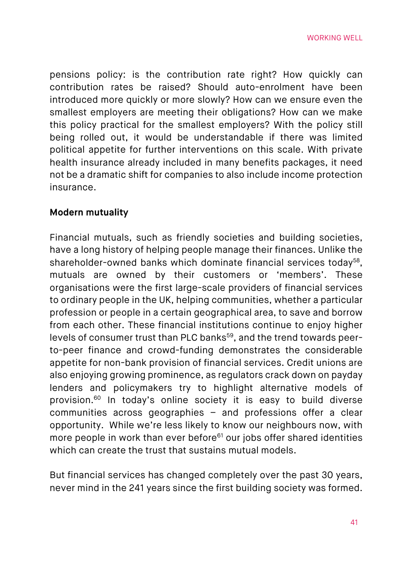pensions policy: is the contribution rate right? How quickly can contribution rates be raised? Should auto-enrolment have been introduced more quickly or more slowly? How can we ensure even the smallest employers are meeting their obligations? How can we make this policy practical for the smallest employers? With the policy still being rolled out, it would be understandable if there was limited political appetite for further interventions on this scale. With private health insurance already included in many benefits packages, it need not be a dramatic shift for companies to also include income protection insurance.

#### **Modern mutuality**

Financial mutuals, such as friendly societies and building societies, have a long history of helping people manage their finances. Unlike the shareholder-owned banks which dominate financial services today<sup>58</sup>, mutuals are owned by their customers or 'members'. These organisations were the first large-scale providers of financial services to ordinary people in the UK, helping communities, whether a particular profession or people in a certain geographical area, to save and borrow from each other. These financial institutions continue to enjoy higher levels of consumer trust than PLC banks<sup>59</sup>, and the trend towards peerto-peer finance and crowd-funding demonstrates the considerable appetite for non-bank provision of financial services. Credit unions are also enjoying growing prominence, as regulators crack down on payday lenders and policymakers try to highlight alternative models of provision.<sup>60</sup> In today's online society it is easy to build diverse communities across geographies – and professions offer a clear opportunity. While we're less likely to know our neighbours now, with more people in work than ever before $61$  our jobs offer shared identities which can create the trust that sustains mutual models.

But financial services has changed completely over the past 30 years, never mind in the 241 years since the first building society was formed.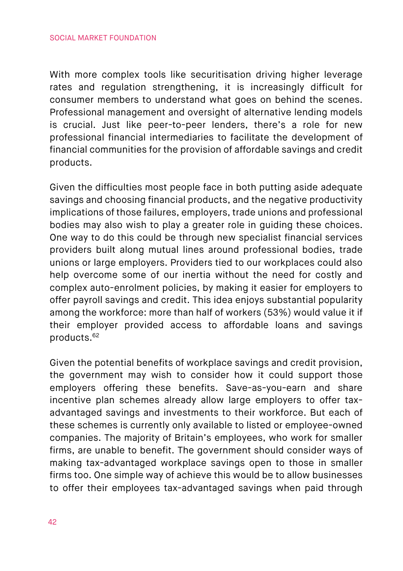With more complex tools like securitisation driving higher leverage rates and regulation strengthening, it is increasingly difficult for consumer members to understand what goes on behind the scenes. Professional management and oversight of alternative lending models is crucial. Just like peer-to-peer lenders, there's a role for new professional financial intermediaries to facilitate the development of financial communities for the provision of affordable savings and credit products.

Given the difficulties most people face in both putting aside adequate savings and choosing financial products, and the negative productivity implications of those failures, employers, trade unions and professional bodies may also wish to play a greater role in guiding these choices. One way to do this could be through new specialist financial services providers built along mutual lines around professional bodies, trade unions or large employers. Providers tied to our workplaces could also help overcome some of our inertia without the need for costly and complex auto-enrolment policies, by making it easier for employers to offer payroll savings and credit. This idea enjoys substantial popularity among the workforce: more than half of workers (53%) would value it if their employer provided access to affordable loans and savings products.62

Given the potential benefits of workplace savings and credit provision, the government may wish to consider how it could support those employers offering these benefits. Save-as-you-earn and share incentive plan schemes already allow large employers to offer taxadvantaged savings and investments to their workforce. But each of these schemes is currently only available to listed or employee-owned companies. The majority of Britain's employees, who work for smaller firms, are unable to benefit. The government should consider ways of making tax-advantaged workplace savings open to those in smaller firms too. One simple way of achieve this would be to allow businesses to offer their employees tax-advantaged savings when paid through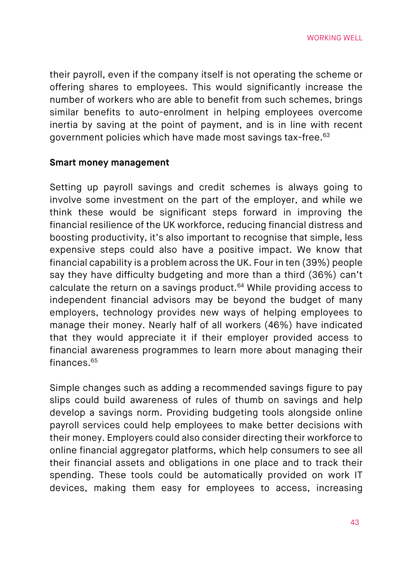their payroll, even if the company itself is not operating the scheme or offering shares to employees. This would significantly increase the number of workers who are able to benefit from such schemes, brings similar benefits to auto-enrolment in helping employees overcome inertia by saving at the point of payment, and is in line with recent government policies which have made most savings tax-free.<sup>63</sup>

#### **Smart money management**

Setting up payroll savings and credit schemes is always going to involve some investment on the part of the employer, and while we think these would be significant steps forward in improving the financial resilience of the UK workforce, reducing financial distress and boosting productivity, it's also important to recognise that simple, less expensive steps could also have a positive impact. We know that financial capability is a problem across the UK. Four in ten (39%) people say they have difficulty budgeting and more than a third (36%) can't calculate the return on a savings product. $64$  While providing access to independent financial advisors may be beyond the budget of many employers, technology provides new ways of helping employees to manage their money. Nearly half of all workers (46%) have indicated that they would appreciate it if their employer provided access to financial awareness programmes to learn more about managing their finances.65

Simple changes such as adding a recommended savings figure to pay slips could build awareness of rules of thumb on savings and help develop a savings norm. Providing budgeting tools alongside online payroll services could help employees to make better decisions with their money. Employers could also consider directing their workforce to online financial aggregator platforms, which help consumers to see all their financial assets and obligations in one place and to track their spending. These tools could be automatically provided on work IT devices, making them easy for employees to access, increasing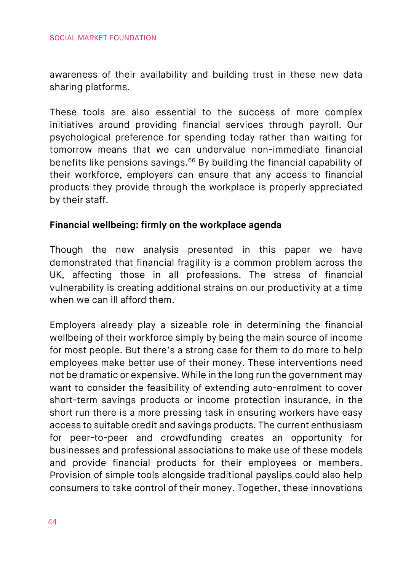awareness of their availability and building trust in these new data sharing platforms.

These tools are also essential to the success of more complex initiatives around providing financial services through payroll. Our psychological preference for spending today rather than waiting for tomorrow means that we can undervalue non-immediate financial benefits like pensions savings.<sup>66</sup> By building the financial capability of their workforce, employers can ensure that any access to financial products they provide through the workplace is properly appreciated by their staff.

## **Financial wellbeing: firmly on the workplace agenda**

Though the new analysis presented in this paper we have demonstrated that financial fragility is a common problem across the UK, affecting those in all professions. The stress of financial vulnerability is creating additional strains on our productivity at a time when we can ill afford them.

Employers already play a sizeable role in determining the financial wellbeing of their workforce simply by being the main source of income for most people. But there's a strong case for them to do more to help employees make better use of their money. These interventions need not be dramatic or expensive. While in the long run the government may want to consider the feasibility of extending auto-enrolment to cover short-term savings products or income protection insurance, in the short run there is a more pressing task in ensuring workers have easy access to suitable credit and savings products. The current enthusiasm for peer-to-peer and crowdfunding creates an opportunity for businesses and professional associations to make use of these models and provide financial products for their employees or members. Provision of simple tools alongside traditional payslips could also help consumers to take control of their money. Together, these innovations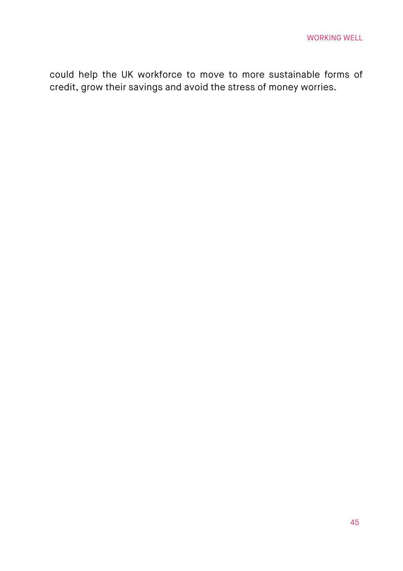could help the UK workforce to move to more sustainable forms of credit, grow their savings and avoid the stress of money worries.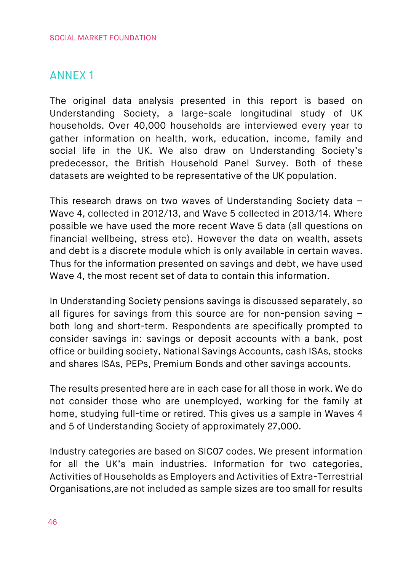# ANNEX 1

The original data analysis presented in this report is based on Understanding Society, a large-scale longitudinal study of UK households. Over 40,000 households are interviewed every year to gather information on health, work, education, income, family and social life in the UK. We also draw on Understanding Society's predecessor, the British Household Panel Survey. Both of these datasets are weighted to be representative of the UK population.

This research draws on two waves of Understanding Society data – Wave 4, collected in 2012/13, and Wave 5 collected in 2013/14. Where possible we have used the more recent Wave 5 data (all questions on financial wellbeing, stress etc). However the data on wealth, assets and debt is a discrete module which is only available in certain waves. Thus for the information presented on savings and debt, we have used Wave 4, the most recent set of data to contain this information.

In Understanding Society pensions savings is discussed separately, so all figures for savings from this source are for non-pension saving – both long and short-term. Respondents are specifically prompted to consider savings in: savings or deposit accounts with a bank, post office or building society, National Savings Accounts, cash ISAs, stocks and shares ISAs, PEPs, Premium Bonds and other savings accounts.

The results presented here are in each case for all those in work. We do not consider those who are unemployed, working for the family at home, studying full-time or retired. This gives us a sample in Waves 4 and 5 of Understanding Society of approximately 27,000.

Industry categories are based on SIC07 codes. We present information for all the UK's main industries. Information for two categories, Activities of Households as Employers and Activities of Extra-Terrestrial Organisations,are not included as sample sizes are too small for results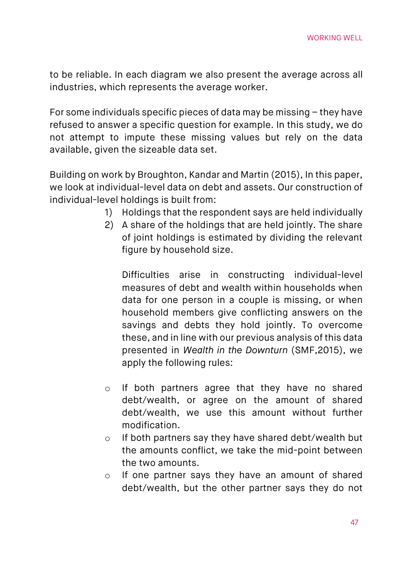to be reliable. In each diagram we also present the average across all industries, which represents the average worker.

For some individuals specific pieces of data may be missing – they have refused to answer a specific question for example. In this study, we do not attempt to impute these missing values but rely on the data available, given the sizeable data set.

Building on work by Broughton, Kandar and Martin (2015), In this paper, we look at individual-level data on debt and assets. Our construction of individual-level holdings is built from:

- 1) Holdings that the respondent says are held individually
- 2) A share of the holdings that are held jointly. The share of joint holdings is estimated by dividing the relevant figure by household size.

Difficulties arise in constructing individual-level measures of debt and wealth within households when data for one person in a couple is missing, or when household members give conflicting answers on the savings and debts they hold jointly. To overcome these, and in line with our previous analysis of this data presented in *Wealth in the Downturn* (SMF,2015), we apply the following rules:

- o If both partners agree that they have no shared debt/wealth, or agree on the amount of shared debt/wealth, we use this amount without further modification.
- o If both partners say they have shared debt/wealth but the amounts conflict, we take the mid-point between the two amounts.
- o If one partner says they have an amount of shared debt/wealth, but the other partner says they do not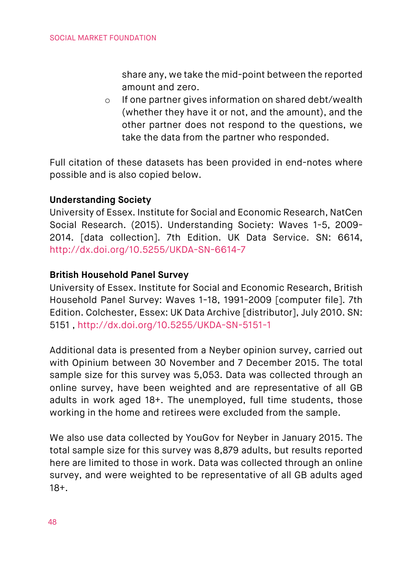share any, we take the mid-point between the reported amount and zero.

 $\circ$  If one partner gives information on shared debt/wealth (whether they have it or not, and the amount), and the other partner does not respond to the questions, we take the data from the partner who responded.

Full citation of these datasets has been provided in end-notes where possible and is also copied below.

#### **Understanding Society**

University of Essex. Institute for Social and Economic Research, NatCen Social Research. (2015). Understanding Society: Waves 1-5, 2009- 2014. [data collection]. 7th Edition. UK Data Service. SN: 6614, http://dx.doi.org/10.5255/UKDA-SN-6614-7

#### **British Household Panel Survey**

University of Essex. Institute for Social and Economic Research, British Household Panel Survey: Waves 1-18, 1991-2009 [computer file]. 7th Edition. Colchester, Essex: UK Data Archive [distributor], July 2010. SN: 5151 , http://dx.doi.org/10.5255/UKDA-SN-5151-1

Additional data is presented from a Neyber opinion survey, carried out with Opinium between 30 November and 7 December 2015. The total sample size for this survey was 5,053. Data was collected through an online survey, have been weighted and are representative of all GB adults in work aged 18+. The unemployed, full time students, those working in the home and retirees were excluded from the sample.

We also use data collected by YouGov for Neyber in January 2015. The total sample size for this survey was 8,879 adults, but results reported here are limited to those in work. Data was collected through an online survey, and were weighted to be representative of all GB adults aged 18+.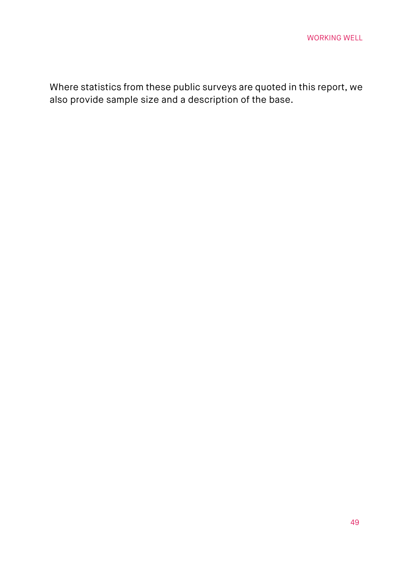Where statistics from these public surveys are quoted in this report, we also provide sample size and a description of the base.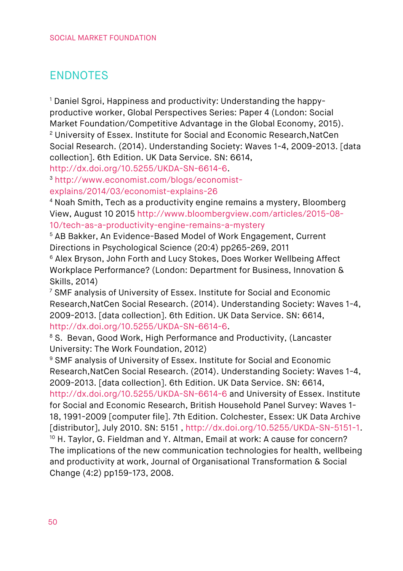# ENDNOTES

<sup>1</sup> Daniel Sgroi, Happiness and productivity: Understanding the happyproductive worker, Global Perspectives Series: Paper 4 (London: Social Market Foundation/Competitive Advantage in the Global Economy, 2015). <sup>2</sup> University of Essex. Institute for Social and Economic Research,NatCen Social Research. (2014). Understanding Society: Waves 1-4, 2009-2013. [data collection]. 6th Edition. UK Data Service. SN: 6614,

http://dx.doi.org/10.5255/UKDA-SN-6614-6.

<sup>3</sup> http://www.economist.com/blogs/economistexplains/2014/03/economist-explains-26

<sup>4</sup> Noah Smith, Tech as a productivity engine remains a mystery, Bloomberg View, August 10 2015 http://www.bloombergview.com/articles/2015-08-

10/tech-as-a-productivity-engine-remains-a-mystery

<sup>5</sup> AB Bakker, An Evidence-Based Model of Work Engagement, Current Directions in Psychological Science (20:4) pp265-269, 2011

<sup>6</sup> Alex Bryson, John Forth and Lucy Stokes, Does Worker Wellbeing Affect Workplace Performance? (London: Department for Business, Innovation & Skills, 2014)

<sup>7</sup> SMF analysis of University of Essex. Institute for Social and Economic Research,NatCen Social Research. (2014). Understanding Society: Waves 1-4, 2009-2013. [data collection]. 6th Edition. UK Data Service. SN: 6614, http://dx.doi.org/10.5255/UKDA-SN-6614-6.

<sup>8</sup> S. Bevan, Good Work, High Performance and Productivity, (Lancaster University: The Work Foundation, 2012)

<sup>9</sup> SMF analysis of University of Essex. Institute for Social and Economic Research,NatCen Social Research. (2014). Understanding Society: Waves 1-4, 2009-2013. [data collection]. 6th Edition. UK Data Service. SN: 6614, http://dx.doi.org/10.5255/UKDA-SN-6614-6 and University of Essex. Institute for Social and Economic Research, British Household Panel Survey: Waves 1- 18, 1991-2009 [computer file]. 7th Edition. Colchester, Essex: UK Data Archive [distributor], July 2010. SN: 5151 , http://dx.doi.org/10.5255/UKDA-SN-5151-1. <sup>10</sup> H. Taylor, G. Fieldman and Y. Altman, Email at work: A cause for concern? The implications of the new communication technologies for health, wellbeing and productivity at work, Journal of Organisational Transformation & Social Change (4:2) pp159-173, 2008.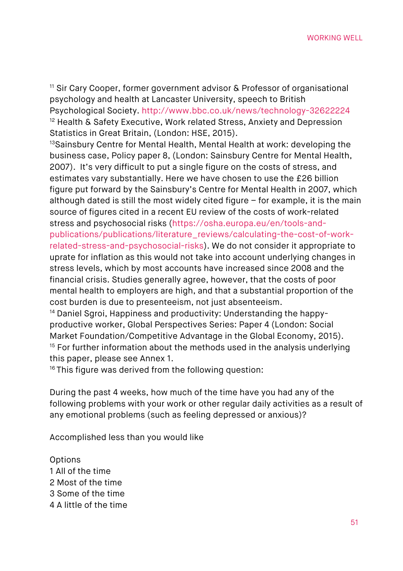<sup>11</sup> Sir Cary Cooper, former government advisor & Professor of organisational psychology and health at Lancaster University, speech to British Psychological Society. http://www.bbc.co.uk/news/technology-32622224 <sup>12</sup> Health & Safety Executive, Work related Stress, Anxiety and Depression Statistics in Great Britain, (London: HSE, 2015).

<sup>13</sup>Sainsbury Centre for Mental Health, Mental Health at work: developing the business case, Policy paper 8, (London: Sainsbury Centre for Mental Health, 2007). It's very difficult to put a single figure on the costs of stress, and estimates vary substantially. Here we have chosen to use the £26 billion figure put forward by the Sainsbury's Centre for Mental Health in 2007, which although dated is still the most widely cited figure – for example, it is the main source of figures cited in a recent EU review of the costs of work-related stress and psychosocial risks (https://osha.europa.eu/en/tools-andpublications/publications/literature\_reviews/calculating-the-cost-of-workrelated-stress-and-psychosocial-risks). We do not consider it appropriate to uprate for inflation as this would not take into account underlying changes in stress levels, which by most accounts have increased since 2008 and the financial crisis. Studies generally agree, however, that the costs of poor mental health to employers are high, and that a substantial proportion of the cost burden is due to presenteeism, not just absenteeism.

<sup>14</sup> Daniel Sgroi, Happiness and productivity: Understanding the happyproductive worker, Global Perspectives Series: Paper 4 (London: Social Market Foundation/Competitive Advantage in the Global Economy, 2015).  $15$  For further information about the methods used in the analysis underlying this paper, please see Annex 1.

<sup>16</sup> This figure was derived from the following question:

During the past 4 weeks, how much of the time have you had any of the following problems with your work or other regular daily activities as a result of any emotional problems (such as feeling depressed or anxious)?

Accomplished less than you would like

Options 1 All of the time 2 Most of the time 3 Some of the time 4 A little of the time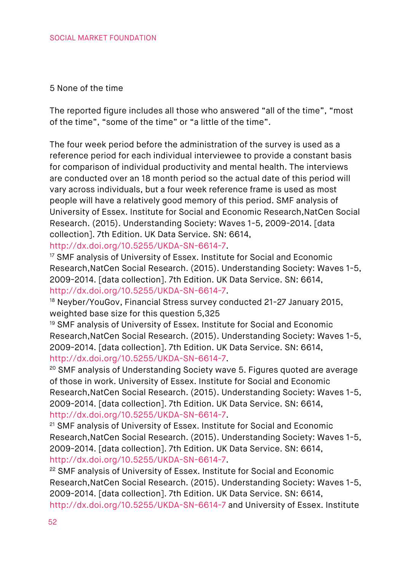#### 5 None of the time

The reported figure includes all those who answered "all of the time", "most of the time", "some of the time" or "a little of the time".

The four week period before the administration of the survey is used as a reference period for each individual interviewee to provide a constant basis for comparison of individual productivity and mental health. The interviews are conducted over an 18 month period so the actual date of this period will vary across individuals, but a four week reference frame is used as most people will have a relatively good memory of this period. SMF analysis of University of Essex. Institute for Social and Economic Research,NatCen Social Research. (2015). Understanding Society: Waves 1-5, 2009-2014. [data collection]. 7th Edition. UK Data Service. SN: 6614,

http://dx.doi.org/10.5255/UKDA-SN-6614-7.

<sup>17</sup> SMF analysis of University of Essex. Institute for Social and Economic Research,NatCen Social Research. (2015). Understanding Society: Waves 1-5, 2009-2014. [data collection]. 7th Edition. UK Data Service. SN: 6614, http://dx.doi.org/10.5255/UKDA-SN-6614-7.

<sup>18</sup> Neyber/YouGov, Financial Stress survey conducted 21-27 January 2015, weighted base size for this question 5,325

<sup>19</sup> SMF analysis of University of Essex. Institute for Social and Economic Research,NatCen Social Research. (2015). Understanding Society: Waves 1-5, 2009-2014. [data collection]. 7th Edition. UK Data Service. SN: 6614, http://dx.doi.org/10.5255/UKDA-SN-6614-7.

<sup>20</sup> SMF analysis of Understanding Society wave 5. Figures quoted are average of those in work. University of Essex. Institute for Social and Economic Research,NatCen Social Research. (2015). Understanding Society: Waves 1-5, 2009-2014. [data collection]. 7th Edition. UK Data Service. SN: 6614, http://dx.doi.org/10.5255/UKDA-SN-6614-7.

<sup>21</sup> SMF analysis of University of Essex. Institute for Social and Economic Research,NatCen Social Research. (2015). Understanding Society: Waves 1-5, 2009-2014. [data collection]. 7th Edition. UK Data Service. SN: 6614, http://dx.doi.org/10.5255/UKDA-SN-6614-7.

<sup>22</sup> SMF analysis of University of Essex. Institute for Social and Economic Research,NatCen Social Research. (2015). Understanding Society: Waves 1-5, 2009-2014. [data collection]. 7th Edition. UK Data Service. SN: 6614, http://dx.doi.org/10.5255/UKDA-SN-6614-7 and University of Essex. Institute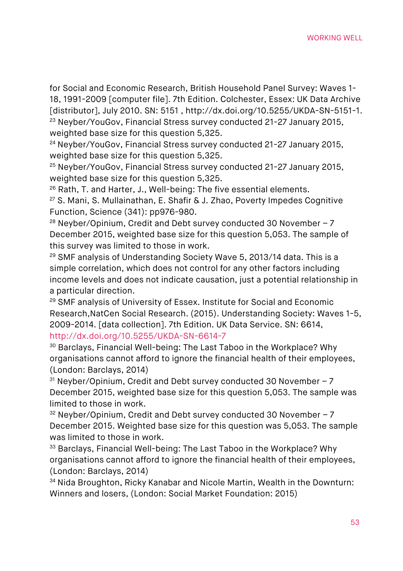for Social and Economic Research, British Household Panel Survey: Waves 1- 18, 1991-2009 [computer file]. 7th Edition. Colchester, Essex: UK Data Archive [distributor], July 2010. SN: 5151 , http://dx.doi.org/10.5255/UKDA-SN-5151-1. <sup>23</sup> Neyber/YouGov, Financial Stress survey conducted 21-27 January 2015, weighted base size for this question 5,325.

<sup>24</sup> Neyber/YouGov, Financial Stress survey conducted 21-27 January 2015, weighted base size for this question 5,325.

<sup>25</sup> Neyber/YouGov, Financial Stress survey conducted 21-27 January 2015, weighted base size for this question 5,325.

<sup>26</sup> Rath, T. and Harter, J., Well-being: The five essential elements.<br><sup>27</sup> S. Mani, S. Mullainathan, E. Shafir & J. Zhao, Poverty Impedes Cognitive

Function, Science (341): pp976-980.<br><sup>28</sup> Neyber/Opinium, Credit and Debt survey conducted 30 November – 7

December 2015, weighted base size for this question 5,053. The sample of this survey was limited to those in work.

<sup>29</sup> SMF analysis of Understanding Society Wave 5, 2013/14 data. This is a simple correlation, which does not control for any other factors including income levels and does not indicate causation, just a potential relationship in a particular direction.

<sup>29</sup> SMF analysis of University of Essex. Institute for Social and Economic Research,NatCen Social Research. (2015). Understanding Society: Waves 1-5, 2009-2014. [data collection]. 7th Edition. UK Data Service. SN: 6614, http://dx.doi.org/10.5255/UKDA-SN-6614-7

<sup>30</sup> Barclays, Financial Well-being: The Last Taboo in the Workplace? Why organisations cannot afford to ignore the financial health of their employees, (London: Barclays, 2014)

 $31$  Neyber/Opinium, Credit and Debt survey conducted 30 November - 7 December 2015, weighted base size for this question 5,053. The sample was limited to those in work.

 $32$  Neyber/Opinium, Credit and Debt survey conducted 30 November – 7 December 2015. Weighted base size for this question was 5,053. The sample was limited to those in work.

<sup>33</sup> Barclays, Financial Well-being: The Last Taboo in the Workplace? Why organisations cannot afford to ignore the financial health of their employees, (London: Barclays, 2014)

<sup>34</sup> Nida Broughton, Ricky Kanabar and Nicole Martin, Wealth in the Downturn: Winners and losers, (London: Social Market Foundation: 2015)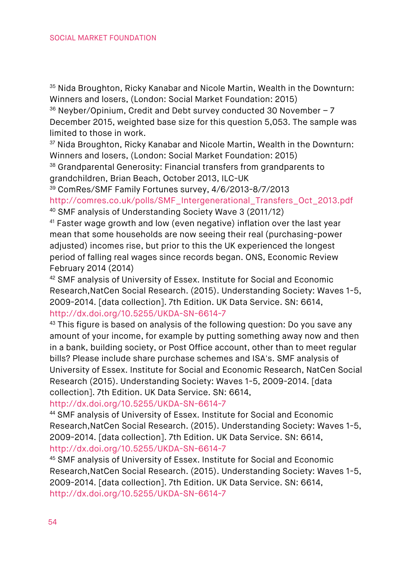<sup>35</sup> Nida Broughton, Ricky Kanabar and Nicole Martin, Wealth in the Downturn: Winners and losers, (London: Social Market Foundation: 2015)

 $36$  Neyber/Opinium, Credit and Debt survey conducted 30 November – 7 December 2015, weighted base size for this question 5,053. The sample was limited to those in work.

<sup>37</sup> Nida Broughton, Ricky Kanabar and Nicole Martin, Wealth in the Downturn: Winners and losers, (London: Social Market Foundation: 2015)

<sup>38</sup> Grandparental Generosity: Financial transfers from grandparents to grandchildren, Brian Beach, October 2013, ILC-UK

<sup>39</sup> ComRes/SMF Family Fortunes survey, 4/6/2013-8/7/2013 http://comres.co.uk/polls/SMF\_Intergenerational\_Transfers\_Oct\_2013.pdf <sup>40</sup> SMF analysis of Understanding Society Wave 3 (2011/12)

<sup>41</sup> Faster wage growth and low (even negative) inflation over the last year mean that some households are now seeing their real (purchasing-power adjusted) incomes rise, but prior to this the UK experienced the longest period of falling real wages since records began. ONS, Economic Review February 2014 (2014)

42 SMF analysis of University of Essex. Institute for Social and Economic Research,NatCen Social Research. (2015). Understanding Society: Waves 1-5, 2009-2014. [data collection]. 7th Edition. UK Data Service. SN: 6614, http://dx.doi.org/10.5255/UKDA-SN-6614-7

<sup>43</sup> This figure is based on analysis of the following question: Do you save any amount of your income, for example by putting something away now and then in a bank, building society, or Post Office account, other than to meet regular bills? Please include share purchase schemes and ISA's. SMF analysis of University of Essex. Institute for Social and Economic Research, NatCen Social Research (2015). Understanding Society: Waves 1-5, 2009-2014. [data collection]. 7th Edition. UK Data Service. SN: 6614,

http://dx.doi.org/10.5255/UKDA-SN-6614-7

<sup>44</sup> SMF analysis of University of Essex. Institute for Social and Economic Research,NatCen Social Research. (2015). Understanding Society: Waves 1-5, 2009-2014. [data collection]. 7th Edition. UK Data Service. SN: 6614, http://dx.doi.org/10.5255/UKDA-SN-6614-7

<sup>45</sup> SMF analysis of University of Essex. Institute for Social and Economic Research,NatCen Social Research. (2015). Understanding Society: Waves 1-5, 2009-2014. [data collection]. 7th Edition. UK Data Service. SN: 6614, http://dx.doi.org/10.5255/UKDA-SN-6614-7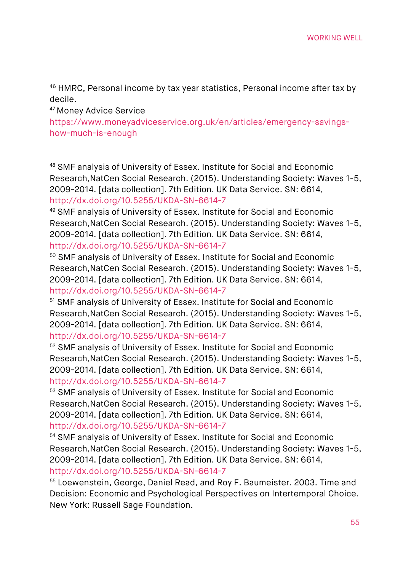<sup>46</sup> HMRC, Personal income by tax year statistics, Personal income after tax by decile.

47 Money Advice Service

https://www.moneyadviceservice.org.uk/en/articles/emergency-savingshow-much-is-enough

<sup>48</sup> SMF analysis of University of Essex. Institute for Social and Economic Research,NatCen Social Research. (2015). Understanding Society: Waves 1-5, 2009-2014. [data collection]. 7th Edition. UK Data Service. SN: 6614, http://dx.doi.org/10.5255/UKDA-SN-6614-7

<sup>49</sup> SMF analysis of University of Essex. Institute for Social and Economic Research,NatCen Social Research. (2015). Understanding Society: Waves 1-5, 2009-2014. [data collection]. 7th Edition. UK Data Service. SN: 6614, http://dx.doi.org/10.5255/UKDA-SN-6614-7

<sup>50</sup> SMF analysis of University of Essex. Institute for Social and Economic Research,NatCen Social Research. (2015). Understanding Society: Waves 1-5, 2009-2014. [data collection]. 7th Edition. UK Data Service. SN: 6614, http://dx.doi.org/10.5255/UKDA-SN-6614-7

<sup>51</sup> SMF analysis of University of Essex. Institute for Social and Economic Research,NatCen Social Research. (2015). Understanding Society: Waves 1-5, 2009-2014. [data collection]. 7th Edition. UK Data Service. SN: 6614, http://dx.doi.org/10.5255/UKDA-SN-6614-7

<sup>52</sup> SMF analysis of University of Essex. Institute for Social and Economic Research,NatCen Social Research. (2015). Understanding Society: Waves 1-5, 2009-2014. [data collection]. 7th Edition. UK Data Service. SN: 6614, http://dx.doi.org/10.5255/UKDA-SN-6614-7

<sup>53</sup> SMF analysis of University of Essex. Institute for Social and Economic Research,NatCen Social Research. (2015). Understanding Society: Waves 1-5, 2009-2014. [data collection]. 7th Edition. UK Data Service. SN: 6614, http://dx.doi.org/10.5255/UKDA-SN-6614-7

<sup>54</sup> SMF analysis of University of Essex. Institute for Social and Economic Research,NatCen Social Research. (2015). Understanding Society: Waves 1-5, 2009-2014. [data collection]. 7th Edition. UK Data Service. SN: 6614, http://dx.doi.org/10.5255/UKDA-SN-6614-7

<sup>55</sup> Loewenstein, George, Daniel Read, and Roy F. Baumeister. 2003. Time and Decision: Economic and Psychological Perspectives on Intertemporal Choice. New York: Russell Sage Foundation.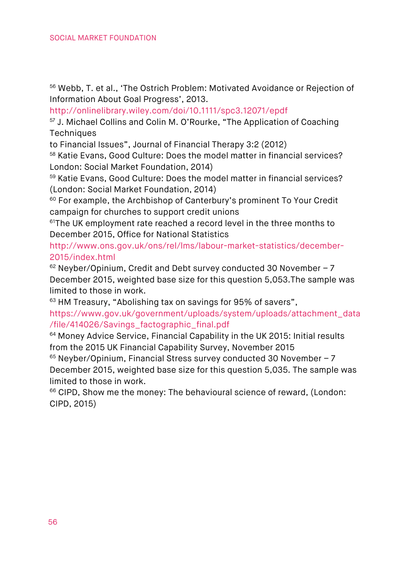<sup>56</sup> Webb, T. et al., 'The Ostrich Problem: Motivated Avoidance or Rejection of Information About Goal Progress', 2013.

http://onlinelibrary.wiley.com/doi/10.1111/spc3.12071/epdf

<sup>57</sup> J. Michael Collins and Colin M. O'Rourke, "The Application of Coaching **Techniques** 

to Financial Issues", Journal of Financial Therapy 3:2 (2012)

<sup>58</sup> Katie Evans, Good Culture: Does the model matter in financial services? London: Social Market Foundation, 2014)

<sup>59</sup> Katie Evans, Good Culture: Does the model matter in financial services? (London: Social Market Foundation, 2014)

<sup>60</sup> For example, the Archbishop of Canterbury's prominent To Your Credit campaign for churches to support credit unions

<sup>61</sup>The UK employment rate reached a record level in the three months to December 2015, Office for National Statistics

http://www.ons.gov.uk/ons/rel/lms/labour-market-statistics/december-2015/index.html

 $62$  Neyber/Opinium, Credit and Debt survey conducted 30 November – 7 December 2015, weighted base size for this question 5,053.The sample was limited to those in work.

<sup>63</sup> HM Treasury, "Abolishing tax on savings for 95% of savers".

https://www.gov.uk/government/uploads/system/uploads/attachment\_data /file/414026/Savings\_factographic\_final.pdf

<sup>64</sup> Money Advice Service, Financial Capability in the UK 2015: Initial results from the 2015 UK Financial Capability Survey, November 2015

 $65$  Neyber/Opinium, Financial Stress survey conducted 30 November - 7 December 2015, weighted base size for this question 5,035. The sample was limited to those in work.

66 CIPD, Show me the money: The behavioural science of reward, (London: CIPD, 2015)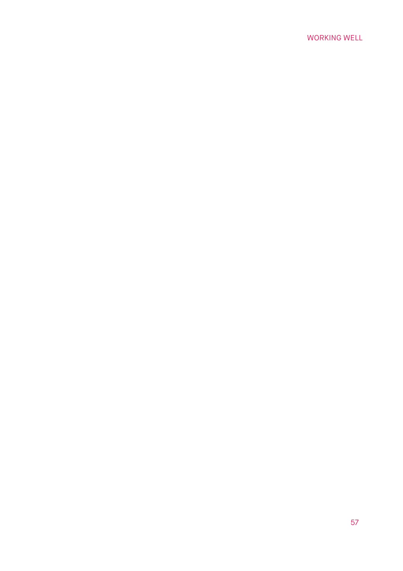WORKING WELL